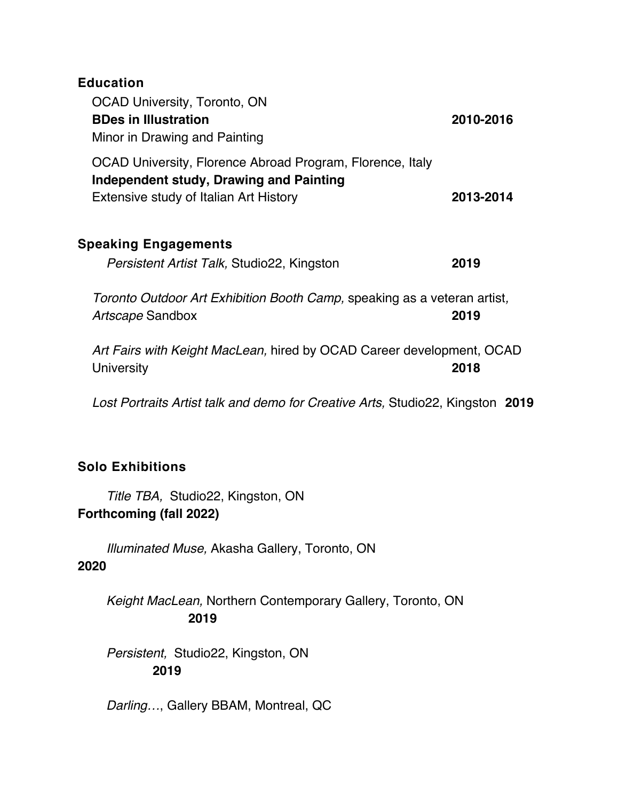| <b>Education</b><br><b>OCAD University, Toronto, ON</b><br><b>BDes in Illustration</b><br>Minor in Drawing and Painting                        | 2010-2016 |
|------------------------------------------------------------------------------------------------------------------------------------------------|-----------|
| OCAD University, Florence Abroad Program, Florence, Italy<br>Independent study, Drawing and Painting<br>Extensive study of Italian Art History | 2013-2014 |
| <b>Speaking Engagements</b><br>Persistent Artist Talk, Studio22, Kingston                                                                      | 2019      |
| Toronto Outdoor Art Exhibition Booth Camp, speaking as a veteran artist,<br>Artscape Sandbox                                                   | 2019      |

*Art Fairs with Keight MacLean,* hired by OCAD Career development, OCAD University **2018**

*Lost Portraits Artist talk and demo for Creative Arts,* Studio22, Kingston **2019**

## **Solo Exhibitions**

 *Title TBA,* Studio22, Kingston, ON **Forthcoming (fall 2022)**

 *Illuminated Muse,* Akasha Gallery, Toronto, ON **2020**

 *Keight MacLean,* Northern Contemporary Gallery, Toronto, ON **2019**

 *Persistent,* Studio22, Kingston, ON **2019**

 *Darling…*, Gallery BBAM, Montreal, QC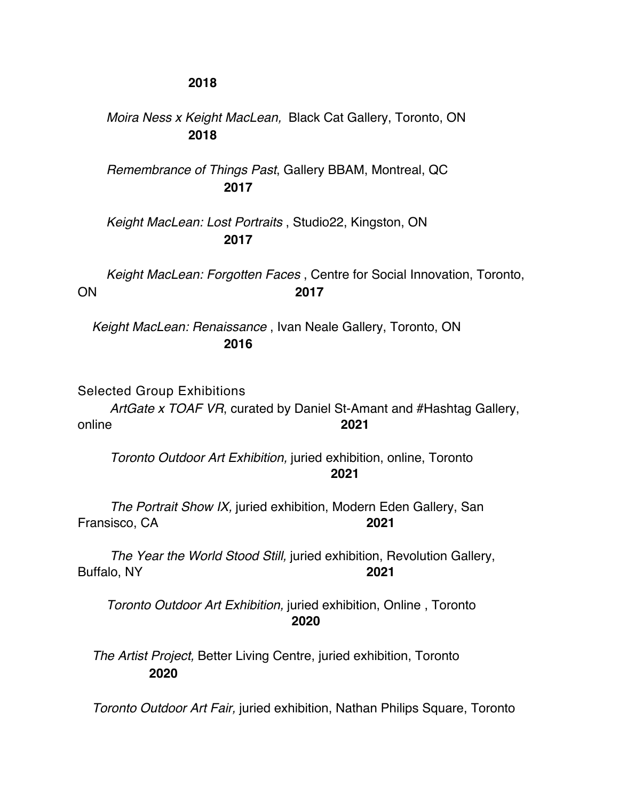## **2018**

## *Moira Ness x Keight MacLean,* Black Cat Gallery, Toronto, ON **2018**

 *Remembrance of Things Past*, Gallery BBAM, Montreal, QC **2017**

 *Keight MacLean: Lost Portraits* , Studio22, Kingston, ON  **2017**

 *Keight MacLean: Forgotten Faces* , Centre for Social Innovation, Toronto, ON **2017**

*Keight MacLean: Renaissance* , Ivan Neale Gallery, Toronto, ON **2016**

Selected Group Exhibitions

 *ArtGate x TOAF VR*, curated by Daniel St-Amant and #Hashtag Gallery, online **2021**

 *Toronto Outdoor Art Exhibition,* juried exhibition, online, Toronto **2021**

 *The Portrait Show IX,* juried exhibition, Modern Eden Gallery, San Fransisco, CA **2021**

 *The Year the World Stood Still,* juried exhibition, Revolution Gallery, Buffalo, NY **2021**

 *Toronto Outdoor Art Exhibition,* juried exhibition, Online , Toronto **2020**

*The Artist Project,* Better Living Centre, juried exhibition, Toronto **2020**

*Toronto Outdoor Art Fair,* juried exhibition, Nathan Philips Square, Toronto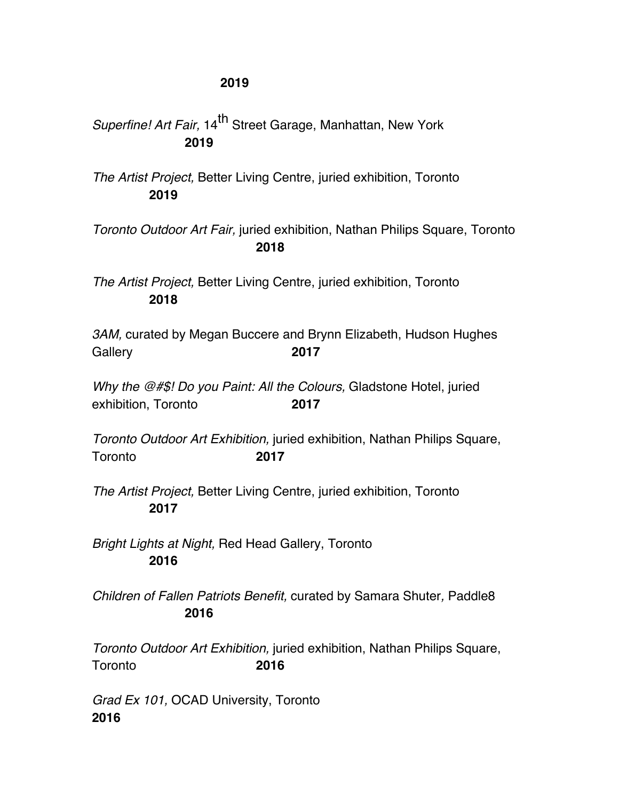*Superfine! Art Fair,* 14<sup>th</sup> Street Garage, Manhattan, New York **2019**

*The Artist Project,* Better Living Centre, juried exhibition, Toronto **2019**

*Toronto Outdoor Art Fair,* juried exhibition, Nathan Philips Square, Toronto **2018**

*The Artist Project,* Better Living Centre, juried exhibition, Toronto **2018**

*3AM,* curated by Megan Buccere and Brynn Elizabeth, Hudson Hughes Gallery **2017** 

*Why the @#\$! Do you Paint: All the Colours,* Gladstone Hotel, juried exhibition, Toronto **2017**

*Toronto Outdoor Art Exhibition,* juried exhibition, Nathan Philips Square, Toronto **2017**

*The Artist Project,* Better Living Centre, juried exhibition, Toronto **2017**

*Bright Lights at Night,* Red Head Gallery, Toronto **2016**

*Children of Fallen Patriots Benefit,* curated by Samara Shuter*,* Paddle8 **2016**

*Toronto Outdoor Art Exhibition,* juried exhibition, Nathan Philips Square, Toronto **2016**

*Grad Ex 101,* OCAD University, Toronto **2016**